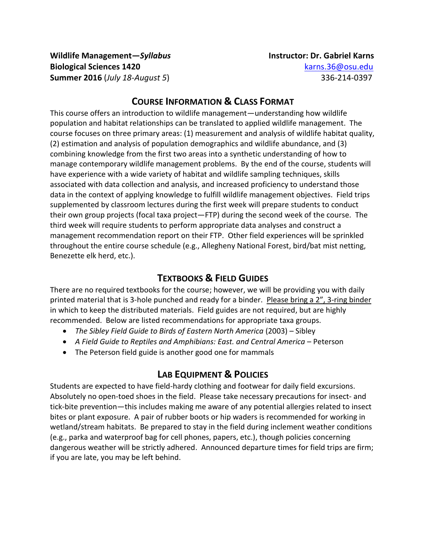**Wildlife Management—***Syllabus* **Instructor: Dr. Gabriel Karns Biological Sciences 1420** [karns.36@osu.edu](mailto:karns.36@osu.edu) **Summer 2016** (*July 18-August 5*) 336-214-0397

#### **COURSE INFORMATION & CLASS FORMAT**

This course offers an introduction to wildlife management—understanding how wildlife population and habitat relationships can be translated to applied wildlife management. The course focuses on three primary areas: (1) measurement and analysis of wildlife habitat quality, (2) estimation and analysis of population demographics and wildlife abundance, and (3) combining knowledge from the first two areas into a synthetic understanding of how to manage contemporary wildlife management problems. By the end of the course, students will have experience with a wide variety of habitat and wildlife sampling techniques, skills associated with data collection and analysis, and increased proficiency to understand those data in the context of applying knowledge to fulfill wildlife management objectives. Field trips supplemented by classroom lectures during the first week will prepare students to conduct their own group projects (focal taxa project—FTP) during the second week of the course. The third week will require students to perform appropriate data analyses and construct a management recommendation report on their FTP. Other field experiences will be sprinkled throughout the entire course schedule (e.g., Allegheny National Forest, bird/bat mist netting, Benezette elk herd, etc.).

## **TEXTBOOKS & FIELD GUIDES**

There are no required textbooks for the course; however, we will be providing you with daily printed material that is 3-hole punched and ready for a binder. Please bring a 2", 3-ring binder in which to keep the distributed materials. Field guides are not required, but are highly recommended. Below are listed recommendations for appropriate taxa groups.

- The Sibley Field Guide to Birds of Eastern North America (2003) Sibley
- *A Field Guide to Reptiles and Amphibians: East. and Central America* Peterson
- The Peterson field guide is another good one for mammals

### **LAB EQUIPMENT & POLICIES**

Students are expected to have field-hardy clothing and footwear for daily field excursions. Absolutely no open-toed shoes in the field. Please take necessary precautions for insect- and tick-bite prevention—this includes making me aware of any potential allergies related to insect bites or plant exposure. A pair of rubber boots or hip waders is recommended for working in wetland/stream habitats. Be prepared to stay in the field during inclement weather conditions (e.g., parka and waterproof bag for cell phones, papers, etc.), though policies concerning dangerous weather will be strictly adhered. Announced departure times for field trips are firm; if you are late, you may be left behind.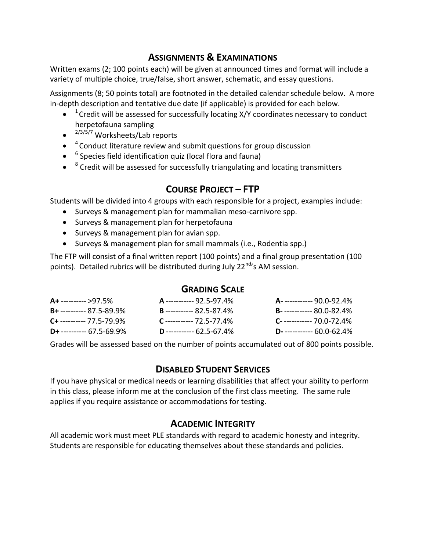## **ASSIGNMENTS & EXAMINATIONS**

Written exams (2; 100 points each) will be given at announced times and format will include a variety of multiple choice, true/false, short answer, schematic, and essay questions.

Assignments (8; 50 points total) are footnoted in the detailed calendar schedule below. A more in-depth description and tentative due date (if applicable) is provided for each below.

- $\bullet$  <sup>1</sup> Credit will be assessed for successfully locating X/Y coordinates necessary to conduct herpetofauna sampling
- <sup>2/3/5/7</sup> Worksheets/Lab reports
- $\bullet$   $^{-4}$  Conduct literature review and submit questions for group discussion
- <sup>6</sup> Species field identification quiz (local flora and fauna)
- $\bullet$   $^{-8}$  Credit will be assessed for successfully triangulating and locating transmitters

# **COURSE PROJECT – FTP**

Students will be divided into 4 groups with each responsible for a project, examples include:

- Surveys & management plan for mammalian meso-carnivore spp.
- Surveys & management plan for herpetofauna
- Surveys & management plan for avian spp.
- Surveys & management plan for small mammals (i.e., Rodentia spp.)

The FTP will consist of a final written report (100 points) and a final group presentation (100 points). Detailed rubrics will be distributed during July 22<sup>nd</sup>'s AM session.

#### **GRADING SCALE**

| $A+$ ---------- >97.5%        | A ----------- 92.5-97.4%        | <b>A</b> ------------ 90.0-92.4%  |
|-------------------------------|---------------------------------|-----------------------------------|
| $B+$ ---------- 87.5-89.9%    | <b>B</b> ----------- 82.5-87.4% | <b>B</b> - ----------- 80.0-82.4% |
| $C_{+}$ ---------- 77.5-79.9% | $C$ ----------- 72.5-77.4%      | $C$ ------------ 70.0-72.4%       |
| $D+$ ---------- 67.5-69.9%    | <b>D</b> ----------- 62.5-67.4% | <b>D</b> - ----------- 60.0-62.4% |

Grades will be assessed based on the number of points accumulated out of 800 points possible.

## **DISABLED STUDENT SERVICES**

If you have physical or medical needs or learning disabilities that affect your ability to perform in this class, please inform me at the conclusion of the first class meeting. The same rule applies if you require assistance or accommodations for testing.

# **ACADEMIC INTEGRITY**

All academic work must meet PLE standards with regard to academic honesty and integrity. Students are responsible for educating themselves about these standards and policies.